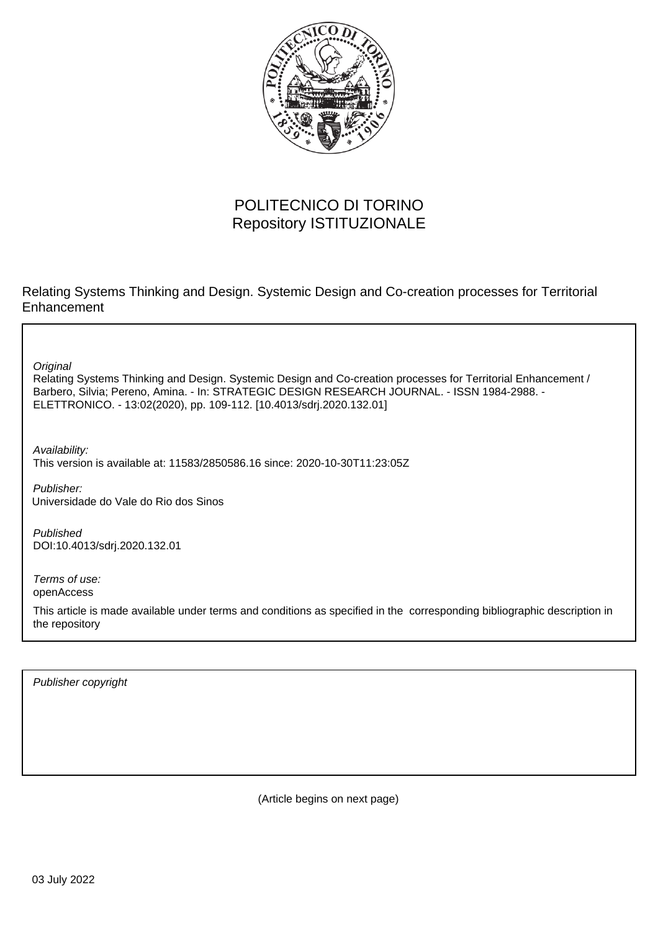

# POLITECNICO DI TORINO Repository ISTITUZIONALE

Relating Systems Thinking and Design. Systemic Design and Co-creation processes for Territorial **Enhancement** 

**Original** 

Relating Systems Thinking and Design. Systemic Design and Co-creation processes for Territorial Enhancement / Barbero, Silvia; Pereno, Amina. - In: STRATEGIC DESIGN RESEARCH JOURNAL. - ISSN 1984-2988. - ELETTRONICO. - 13:02(2020), pp. 109-112. [10.4013/sdrj.2020.132.01]

Availability: This version is available at: 11583/2850586.16 since: 2020-10-30T11:23:05Z

Publisher: Universidade do Vale do Rio dos Sinos

Published DOI:10.4013/sdrj.2020.132.01

Terms of use: openAccess

This article is made available under terms and conditions as specified in the corresponding bibliographic description in the repository

Publisher copyright

(Article begins on next page)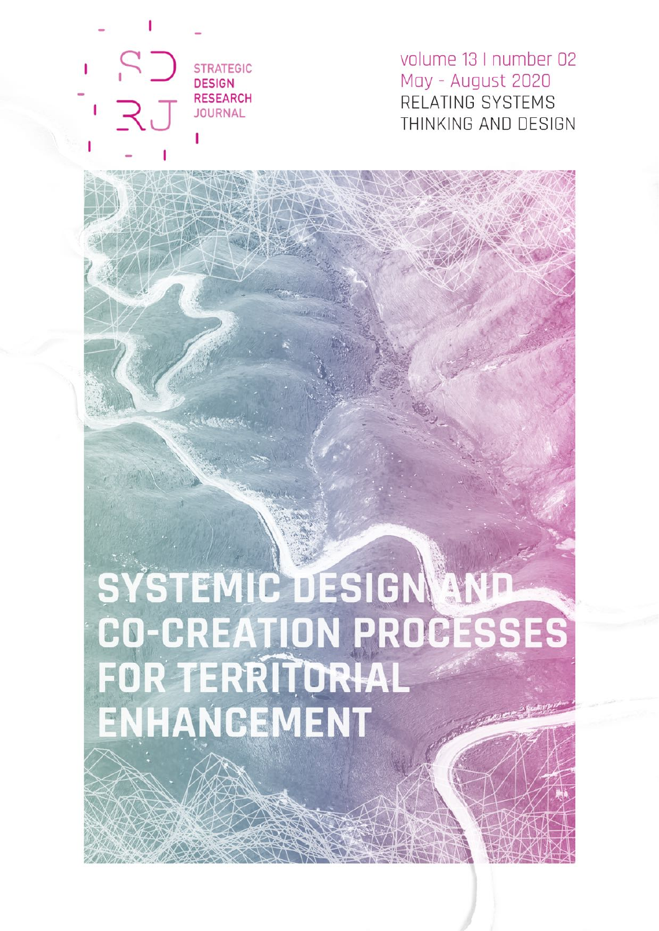**STRATEGIC DESIGN RESEARCH JOURNAL** 

volume 13 I number 02 May - August 2020 RELATING SYSTEMS THINKING AND DESIGN

# SYSTEMIC DESIGN AND **CO-CREATION PROCESSES**<br>FOR TERRITORIAL<br>ENHANCEMENT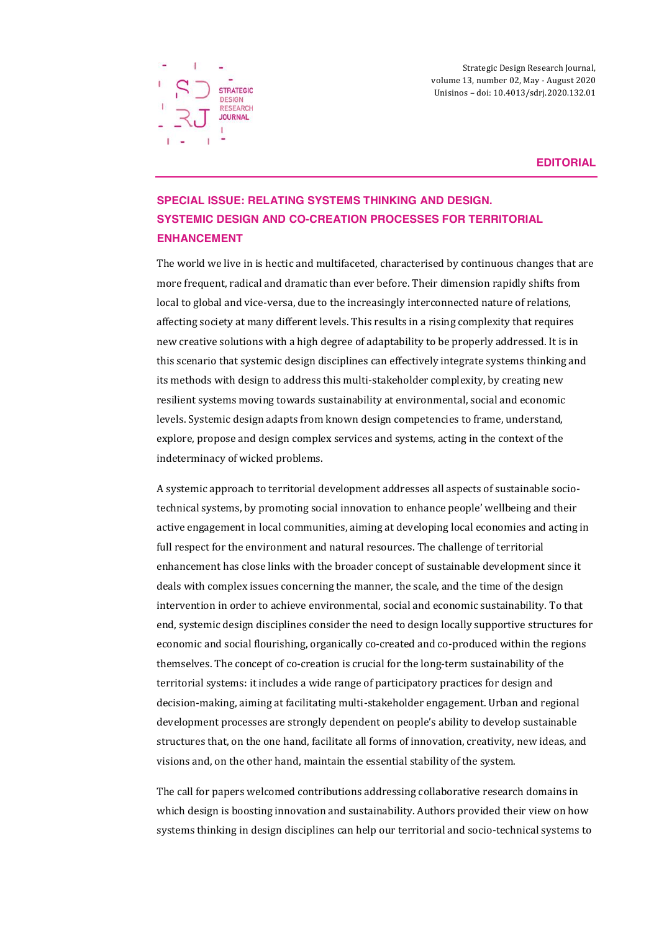

Strategic Design Research Journal, volume 13, number 02, May - August 2020 Unisinos – doi: 10.4013/sdrj.2020.132.01

**EDITORIAL**

# **SPECIAL ISSUE: RELATING SYSTEMS THINKING AND DESIGN. SYSTEMIC DESIGN AND CO-CREATION PROCESSES FOR TERRITORIAL ENHANCEMENT**

The world we live in is hectic and multifaceted, characterised by continuous changes that are more frequent, radical and dramatic than ever before. Their dimension rapidly shifts from local to global and vice-versa, due to the increasingly interconnected nature of relations, affecting society at many different levels. This results in a rising complexity that requires new creative solutions with a high degree of adaptability to be properly addressed. It is in this scenario that systemic design disciplines can effectively integrate systems thinking and its methods with design to address this multi-stakeholder complexity, by creating new resilient systems moving towards sustainability at environmental, social and economic levels. Systemic design adapts from known design competencies to frame, understand, explore, propose and design complex services and systems, acting in the context of the indeterminacy of wicked problems.

A systemic approach to territorial development addresses all aspects of sustainable sociotechnical systems, by promoting social innovation to enhance people' wellbeing and their active engagement in local communities, aiming at developing local economies and acting in full respect for the environment and natural resources. The challenge of territorial enhancement has close links with the broader concept of sustainable development since it deals with complex issues concerning the manner, the scale, and the time of the design intervention in order to achieve environmental, social and economic sustainability. To that end, systemic design disciplines consider the need to design locally supportive structures for economic and social flourishing, organically co-created and co-produced within the regions themselves. The concept of co-creation is crucial for the long-term sustainability of the territorial systems: it includes a wide range of participatory practices for design and decision-making, aiming at facilitating multi-stakeholder engagement. Urban and regional development processes are strongly dependent on people's ability to develop sustainable structures that, on the one hand, facilitate all forms of innovation, creativity, new ideas, and visions and, on the other hand, maintain the essential stability of the system.

The call for papers welcomed contributions addressing collaborative research domains in which design is boosting innovation and sustainability. Authors provided their view on how systems thinking in design disciplines can help our territorial and socio-technical systems to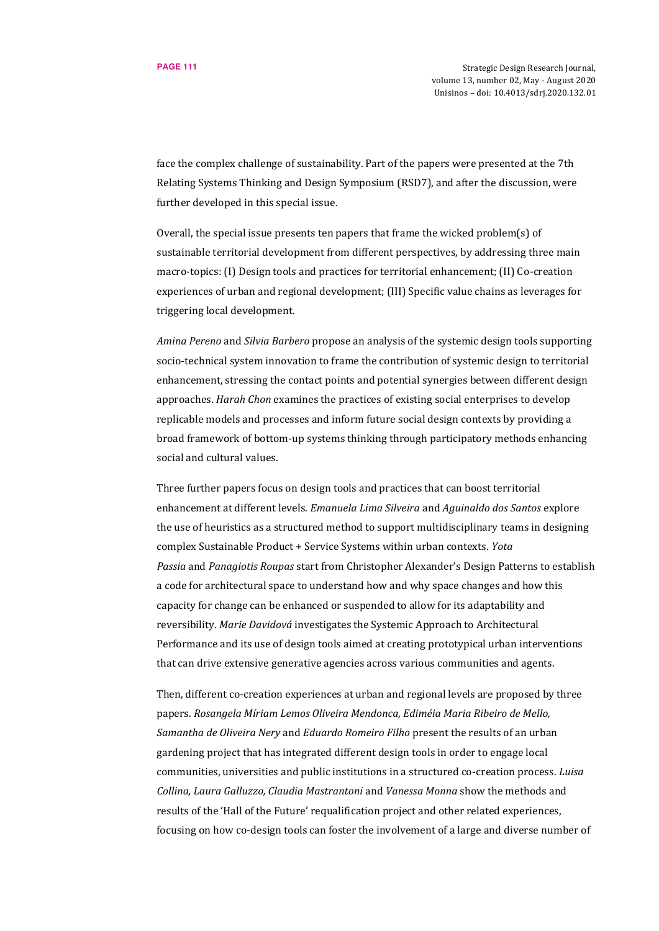face the complex challenge of sustainability. Part of the papers were presented at the 7th Relating Systems Thinking and Design Symposium (RSD7), and after the discussion, were further developed in this special issue.

Overall, the special issue presents ten papers that frame the wicked problem(s) of sustainable territorial development from different perspectives, by addressing three main macro-topics: (I) Design tools and practices for territorial enhancement; (II) Co-creation experiences of urban and regional development; (III) Specific value chains as leverages for triggering local development.

*Amina Pereno* and *Silvia Barbero* propose an analysis of the systemic design tools supporting socio-technical system innovation to frame the contribution of systemic design to territorial enhancement, stressing the contact points and potential synergies between different design approaches. *Harah Chon* examines the practices of existing social enterprises to develop replicable models and processes and inform future social design contexts by providing a broad framework of bottom-up systems thinking through participatory methods enhancing social and cultural values.

Three further papers focus on design tools and practices that can boost territorial enhancement at different levels. *Emanuela Lima Silveira* and *Aguinaldo dos Santos* explore the use of heuristics as a structured method to support multidisciplinary teams in designing complex Sustainable Product + Service Systems within urban contexts. *Yota Passia* and *Panagiotis Roupas* start from Christopher Alexander's Design Patterns to establish a code for architectural space to understand how and why space changes and how this capacity for change can be enhanced or suspended to allow for its adaptability and reversibility. *Marie Davidová* investigates the Systemic Approach to Architectural Performance and its use of design tools aimed at creating prototypical urban interventions that can drive extensive generative agencies across various communities and agents.

Then, different co-creation experiences at urban and regional levels are proposed by three papers. *Rosangela Míriam Lemos Oliveira Mendonca, Ediméia Maria Ribeiro de Mello, Samantha de Oliveira Nery* and *Eduardo Romeiro Filho* present the results of an urban gardening project that has integrated different design tools in order to engage local communities, universities and public institutions in a structured co-creation process. *Luisa Collina, Laura Galluzzo, Claudia Mastrantoni* and *Vanessa Monna* show the methods and results of the 'Hall of the Future' requalification project and other related experiences, focusing on how co-design tools can foster the involvement of a large and diverse number of